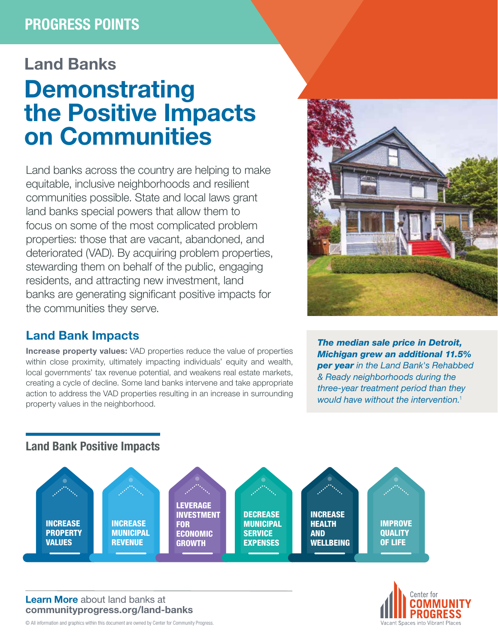# PROGRESS POINTS

# Land Banks **Demonstrating** the Positive Impacts on Communities

Land banks across the country are helping to make equitable, inclusive neighborhoods and resilient communities possible. State and local laws grant land banks special powers that allow them to focus on some of the most complicated problem properties: those that are vacant, abandoned, and deteriorated (VAD). By acquiring problem properties, stewarding them on behalf of the public, engaging residents, and attracting new investment, land banks are generating significant positive impacts for the communities they serve.

## Land Bank Impacts

Increase property values: VAD properties reduce the value of properties within close proximity, ultimately impacting individuals' equity and wealth, local governments' tax revenue potential, and weakens real estate markets, creating a cycle of decline. Some land banks intervene and take appropriate action to address the VAD properties resulting in an increase in surrounding property values in the neighborhood.



*The median sale price in Detroit, Michigan grew an additional 11.5% per year in the Land Bank's Rehabbed & Ready neighborhoods during the three-year treatment period than they would have without the intervention.*<sup>1</sup>

### Land Bank Positive Impacts



#### Learn More [about land banks at](https://communityprogress.org/resources/land-banks/) [communityprogress.org/land-banks](https://communityprogress.org/resources/land-banks/)



© All information and graphics within this document are owned by Center for Community Progress.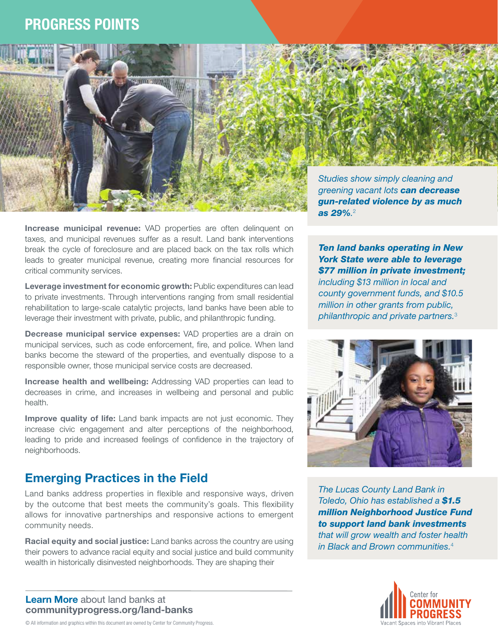## PROGRESS POINTS



*<u>CONSTANTINO</u>* 

Leverage investment for economic growth: Public expenditures can lead to private investments. Through interventions ranging from small residential rehabilitation to large-scale catalytic projects, land banks have been able to leverage their investment with private, public, and philanthropic funding.

Decrease municipal service expenses: VAD properties are a drain on municipal services, such as code enforcement, fire, and police. When land banks become the steward of the properties, and eventually dispose to a responsible owner, those municipal service costs are decreased.

Increase health and wellbeing: Addressing VAD properties can lead to decreases in crime, and increases in wellbeing and personal and public health.

**Improve quality of life:** Land bank impacts are not just economic. They increase civic engagement and alter perceptions of the neighborhood, leading to pride and increased feelings of confidence in the trajectory of neighborhoods.

## Emerging Practices in the Field

Land banks address properties in flexible and responsive ways, driven by the outcome that best meets the community's goals. This flexibility allows for innovative partnerships and responsive actions to emergent community needs.

Racial equity and social justice: Land banks across the country are using their powers to advance racial equity and social justice and build community wealth in historically disinvested neighborhoods. They are shaping their

Learn More [about land banks at](https://communityprogress.org/resources/land-banks/) [communityprogress.org/land-banks](https://communityprogress.org/resources/land-banks/)

*Studies show simply cleaning and greening vacant lots can decrease gun-related violence by as much as 29%.* 2

*Ten land banks operating in New York State were able to leverage \$77 million in private investment; including \$13 million in local and county government funds, and \$10.5 million in other grants from public,* 

*philanthropic and private partners.*<sup>3</sup>



*The Lucas County Land Bank in Toledo, Ohio has established a \$1.5 million Neighborhood Justice Fund to support land bank investments that will grow wealth and foster health in Black and Brown communities.*<sup>4</sup>